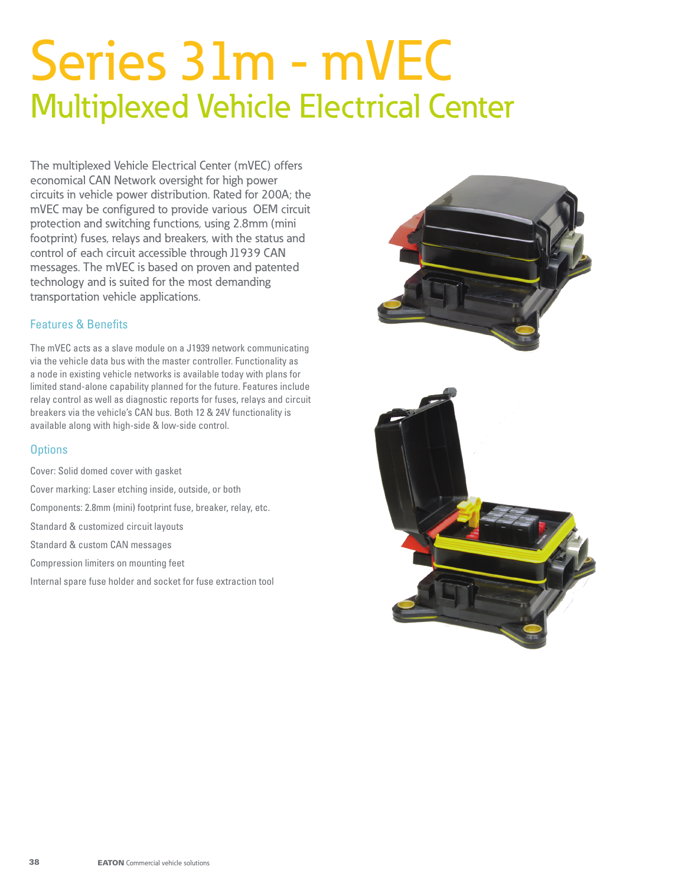# Series 31m - mVEC Multiplexed Vehicle Electrical Center

The multiplexed Vehicle Electrical Center (mVEC) offers economical CAN Network oversight for high power circuits in vehicle power distribution. Rated for 200A; the mVEC may be configured to provide various OEM circuit protection and switching functions, using 2.8mm (mini footprint) fuses, relays and breakers, with the status and control of each circuit accessible through J1939 CAN messages. The mVEC is based on proven and patented technology and is suited for the most demanding transportation vehicle applications.

## Features & Benefits

The mVEC acts as a slave module on a J1939 network communicating via the vehicle data bus with the master controller. Functionality as a node in existing vehicle networks is available today with plans for limited stand-alone capability planned for the future. Features include relay control as well as diagnostic reports for fuses, relays and circuit breakers via the vehicle's CAN bus. Both 12 & 24V functionality is available along with high-side & low-side control.

## **Options**

- Cover: Solid domed cover with gasket
- Cover marking: Laser etching inside, outside, or both
- Components: 2.8mm (mini) footprint fuse, breaker, relay, etc.
- Standard & customized circuit layouts
- Standard & custom CAN messages
- Compression limiters on mounting feet
- Internal spare fuse holder and socket for fuse extraction tool